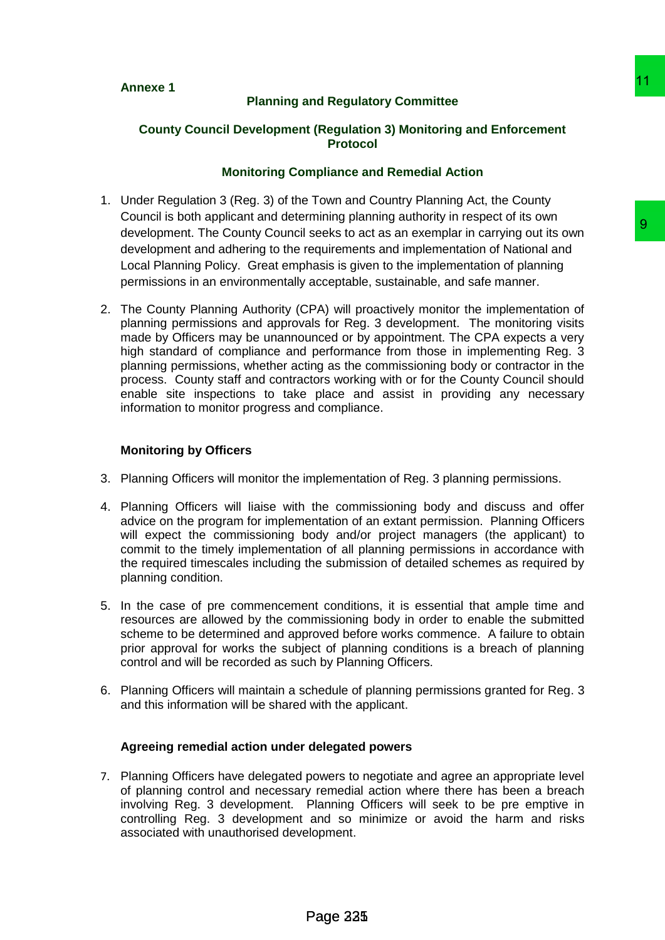# **Planning and Regulatory Committee**

# **County Council Development (Regulation 3) Monitoring and Enforcement Protocol**

### **Monitoring Compliance and Remedial Action**

- 1. Under Regulation 3 (Reg. 3) of the Town and Country Planning Act, the County Council is both applicant and determining planning authority in respect of its own development. The County Council seeks to act as an exemplar in carrying out its own development and adhering to the requirements and implementation of National and Local Planning Policy. Great emphasis is given to the implementation of planning permissions in an environmentally acceptable, sustainable, and safe manner.
- 2. The County Planning Authority (CPA) will proactively monitor the implementation of planning permissions and approvals for Reg. 3 development. The monitoring visits made by Officers may be unannounced or by appointment. The CPA expects a very high standard of compliance and performance from those in implementing Reg. 3 planning permissions, whether acting as the commissioning body or contractor in the process. County staff and contractors working with or for the County Council should enable site inspections to take place and assist in providing any necessary information to monitor progress and compliance. 11 Regulatory Committee<br>
11 (Regulation 3) Monitoring and Enforcement<br>
11 (Regulation 3) Monitoring and Enforcement<br>
11 Town and Country Planing Ad, the County<br>
11 Town and Country Planing Ad, the County<br>
11 Town and Count

### **Monitoring by Officers**

- 3. Planning Officers will monitor the implementation of Reg. 3 planning permissions.
- 4. Planning Officers will liaise with the commissioning body and discuss and offer advice on the program for implementation of an extant permission. Planning Officers will expect the commissioning body and/or project managers (the applicant) to commit to the timely implementation of all planning permissions in accordance with the required timescales including the submission of detailed schemes as required by planning condition.
- 5. In the case of pre commencement conditions, it is essential that ample time and resources are allowed by the commissioning body in order to enable the submitted scheme to be determined and approved before works commence. A failure to obtain prior approval for works the subject of planning conditions is a breach of planning control and will be recorded as such by Planning Officers.
- 6. Planning Officers will maintain a schedule of planning permissions granted for Reg. 3 and this information will be shared with the applicant.

#### **Agreeing remedial action under delegated powers**

7. Planning Officers have delegated powers to negotiate and agree an appropriate level of planning control and necessary remedial action where there has been a breach involving Reg. 3 development. Planning Officers will seek to be pre emptive in controlling Reg. 3 development and so minimize or avoid the harm and risks associated with unauthorised development.